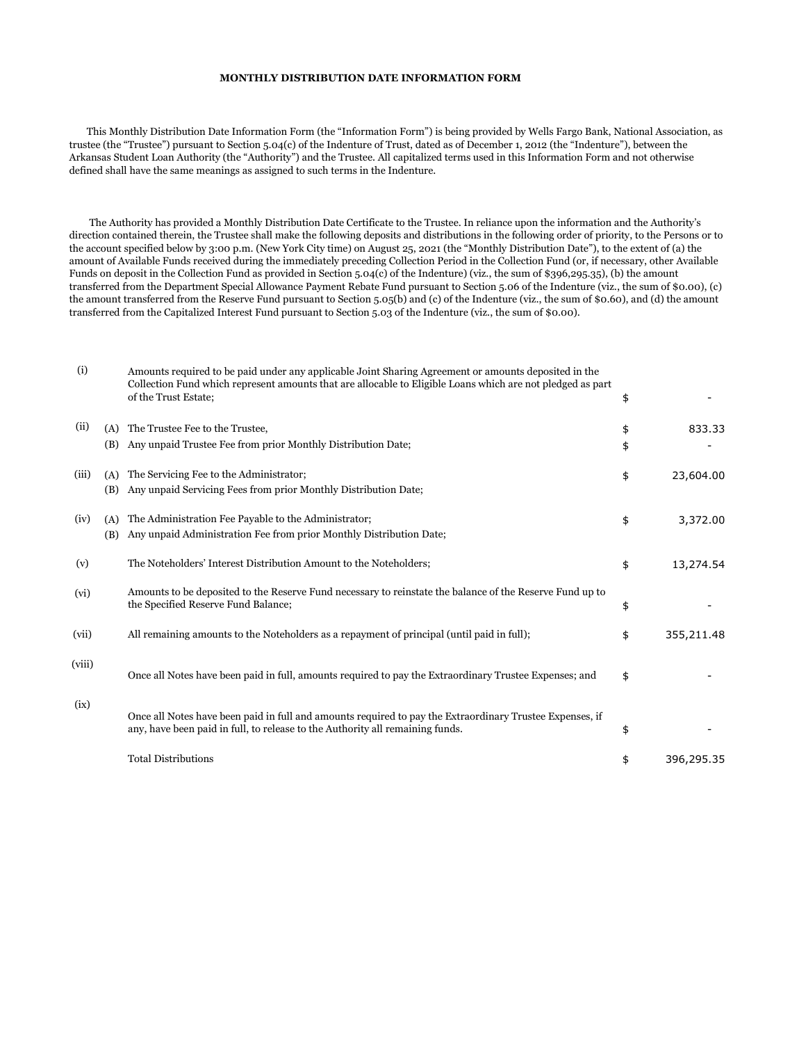## MONTHLY DISTRIBUTION DATE INFORMATION FORM

 This Monthly Distribution Date Information Form (the "Information Form") is being provided by Wells Fargo Bank, National Association, as trustee (the "Trustee") pursuant to Section 5.04(c) of the Indenture of Trust, dated as of December 1, 2012 (the "Indenture"), between the Arkansas Student Loan Authority (the "Authority") and the Trustee. All capitalized terms used in this Information Form and not otherwise defined shall have the same meanings as assigned to such terms in the Indenture.

 The Authority has provided a Monthly Distribution Date Certificate to the Trustee. In reliance upon the information and the Authority's direction contained therein, the Trustee shall make the following deposits and distributions in the following order of priority, to the Persons or to the account specified below by 3:00 p.m. (New York City time) on August 25, 2021 (the "Monthly Distribution Date"), to the extent of (a) the amount of Available Funds received during the immediately preceding Collection Period in the Collection Fund (or, if necessary, other Available Funds on deposit in the Collection Fund as provided in Section 5.04(c) of the Indenture) (viz., the sum of \$396,295.35), (b) the amount transferred from the Department Special Allowance Payment Rebate Fund pursuant to Section 5.06 of the Indenture (viz., the sum of \$0.00), (c) the amount transferred from the Reserve Fund pursuant to Section 5.05(b) and (c) of the Indenture (viz., the sum of \$0.60), and (d) the amount transferred from the Capitalized Interest Fund pursuant to Section 5.03 of the Indenture (viz., the sum of \$0.00).

| (i)    |            | Amounts required to be paid under any applicable Joint Sharing Agreement or amounts deposited in the<br>Collection Fund which represent amounts that are allocable to Eligible Loans which are not pledged as part<br>of the Trust Estate; | \$       |            |
|--------|------------|--------------------------------------------------------------------------------------------------------------------------------------------------------------------------------------------------------------------------------------------|----------|------------|
| (ii)   | (A)<br>(B) | The Trustee Fee to the Trustee,<br>Any unpaid Trustee Fee from prior Monthly Distribution Date;                                                                                                                                            | \$<br>\$ | 833.33     |
| (iii)  | (A)<br>(B) | The Servicing Fee to the Administrator;<br>Any unpaid Servicing Fees from prior Monthly Distribution Date;                                                                                                                                 | \$       | 23,604.00  |
| (iv)   | (A)<br>(B) | The Administration Fee Payable to the Administrator;<br>Any unpaid Administration Fee from prior Monthly Distribution Date;                                                                                                                | \$       | 3,372.00   |
| (v)    |            | The Noteholders' Interest Distribution Amount to the Noteholders;                                                                                                                                                                          | \$       | 13,274.54  |
| (vi)   |            | Amounts to be deposited to the Reserve Fund necessary to reinstate the balance of the Reserve Fund up to<br>the Specified Reserve Fund Balance;                                                                                            | \$       |            |
| (vii)  |            | All remaining amounts to the Noteholders as a repayment of principal (until paid in full);                                                                                                                                                 | \$       | 355,211.48 |
| (viii) |            | Once all Notes have been paid in full, amounts required to pay the Extraordinary Trustee Expenses; and                                                                                                                                     | \$       |            |
| (ix)   |            | Once all Notes have been paid in full and amounts required to pay the Extraordinary Trustee Expenses, if<br>any, have been paid in full, to release to the Authority all remaining funds.                                                  | \$       |            |
|        |            | <b>Total Distributions</b>                                                                                                                                                                                                                 | \$       | 396,295.35 |